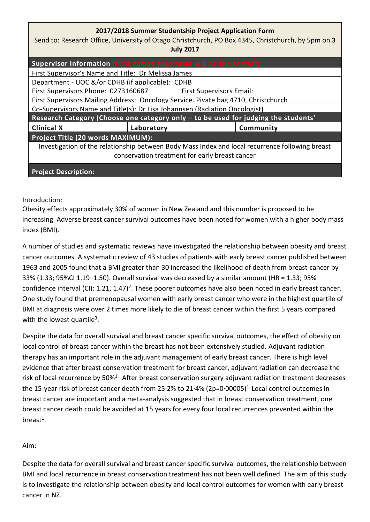## **2017/2018 Summer Studentship Project Application Form**

Send to: Research Office, University of Otago Christchurch, PO Box 4345, Christchurch, by 5pm on **3 July 2017**

| Supervisor Information (First named supervisor will be the contact):                            |            |                                 |           |  |  |
|-------------------------------------------------------------------------------------------------|------------|---------------------------------|-----------|--|--|
| First Supervisor's Name and Title: Dr Melissa James                                             |            |                                 |           |  |  |
| Department - UOC &/or CDHB (if applicable): CDHB                                                |            |                                 |           |  |  |
| First Supervisors Phone: 0273160687                                                             |            | <b>First Supervisors Email:</b> |           |  |  |
| First Supervisors Mailing Address: Oncology Service. Pivate bag 4710, Christchurch              |            |                                 |           |  |  |
| Co-Supervisors Name and Title(s): Dr Lisa Johannsen (Radiation Oncologist)                      |            |                                 |           |  |  |
| Research Category (Choose one category only - to be used for judging the students'              |            |                                 |           |  |  |
| <b>Clinical X</b>                                                                               | Laboratory |                                 | Community |  |  |
| Project Title (20 words MAXIMUM):                                                               |            |                                 |           |  |  |
| Investigation of the relationship between Body Mass Index and local recurrence following breast |            |                                 |           |  |  |
| conservation treatment for early breast cancer                                                  |            |                                 |           |  |  |
|                                                                                                 |            |                                 |           |  |  |
| <b>Project Description:</b>                                                                     |            |                                 |           |  |  |

### Introduction:

**Aortic Aneurysm**

Obesity effects approximately 30% of women in New Zealand and this number is proposed to be increasing. Adverse breast cancer survival outcomes have been noted for women with a higher body mass index (BMI).

A number of studies and systematic reviews have investigated the relationship between obesity and breast cancer outcomes. A systematic review of 43 studies of patients with early breast cancer published between 1963 and 2005 found that a BMI greater than 30 increased the likelihood of death from breast cancer by 33% (1.33; 95%CI 1.19–1.50). Overall survival was decreased by a similar amount (HR = 1.33; 95% confidence interval (CI): 1.21, 1.47)<sup>2</sup>. These poorer outcomes have also been noted in early breast cancer. One study found that premenopausal women with early breast cancer who were in the highest quartile of BMI at diagnosis were over 2 times more likely to die of breast cancer within the first 5 years compared with the lowest quartile<sup>3</sup>.

Despite the data for overall survival and breast cancer specific survival outcomes, the effect of obesity on local control of breast cancer within the breast has not been extensively studied. Adjuvant radiation therapy has an important role in the adjuvant management of early breast cancer. There is high level evidence that after breast conservation treatment for breast cancer, adjuvant radiation can decrease the risk of local recurrence by 50%<sup>1,</sup> After breast conservation surgery adjuvant radiation treatment decreases the 15-year risk of breast cancer death from 25 $\cdot$ 2% to 21 $\cdot$ 4% (2p=0 $\cdot$ 00005)<sup>1.</sup> Local control outcomes in breast cancer are important and a meta-analysis suggested that in breast conservation treatment, one breast cancer death could be avoided at 15 years for every four local recurrences prevented within the breast<sup>1</sup>.

### Aim:

Despite the data for overall survival and breast cancer specific survival outcomes, the relationship between BMI and local recurrence in breast conservation treatment has not been well defined. The aim of this study is to investigate the relationship between obesity and local control outcomes for women with early breast cancer in NZ.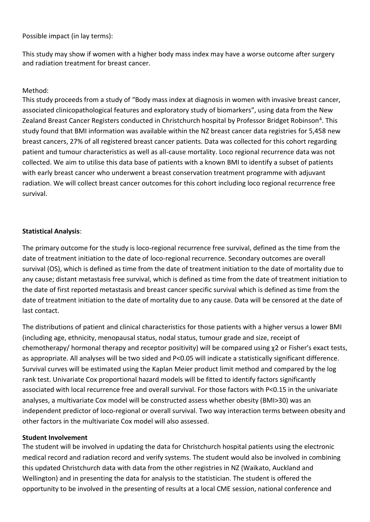### Possible impact (in lay terms):

This study may show if women with a higher body mass index may have a worse outcome after surgery and radiation treatment for breast cancer.

## Method:

This study proceeds from a study of "Body mass index at diagnosis in women with invasive breast cancer, associated clinicopathological features and exploratory study of biomarkers", using data from the New Zealand Breast Cancer Registers conducted in Christchurch hospital by Professor Bridget Robinson<sup>4</sup>. This study found that BMI information was available within the NZ breast cancer data registries for 5,458 new breast cancers, 27% of all registered breast cancer patients. Data was collected for this cohort regarding patient and tumour characteristics as well as all-cause mortality. Loco regional recurrence data was not collected. We aim to utilise this data base of patients with a known BMI to identify a subset of patients with early breast cancer who underwent a breast conservation treatment programme with adjuvant radiation. We will collect breast cancer outcomes for this cohort including loco regional recurrence free survival.

### **Statistical Analysis**:

The primary outcome for the study is loco-regional recurrence free survival, defined as the time from the date of treatment initiation to the date of loco-regional recurrence. Secondary outcomes are overall survival (OS), which is defined as time from the date of treatment initiation to the date of mortality due to any cause; distant metastasis free survival, which is defined as time from the date of treatment initiation to the date of first reported metastasis and breast cancer specific survival which is defined as time from the date of treatment initiation to the date of mortality due to any cause. Data will be censored at the date of last contact.

The distributions of patient and clinical characteristics for those patients with a higher versus a lower BMI (including age, ethnicity, menopausal status, nodal status, tumour grade and size, receipt of chemotherapy/ hormonal therapy and receptor positivity) will be compared using χ2 or Fisher's exact tests, as appropriate. All analyses will be two sided and P<0.05 will indicate a statistically significant difference. Survival curves will be estimated using the Kaplan Meier product limit method and compared by the log rank test. Univariate Cox proportional hazard models will be fitted to identify factors significantly associated with local recurrence free and overall survival. For those factors with P<0.15 in the univariate analyses, a multivariate Cox model will be constructed assess whether obesity (BMI>30) was an independent predictor of loco-regional or overall survival. Two way interaction terms between obesity and other factors in the multivariate Cox model will also assessed.

### **Student Involvement**

The student will be involved in updating the data for Christchurch hospital patients using the electronic medical record and radiation record and verify systems. The student would also be involved in combining this updated Christchurch data with data from the other registries in NZ (Waikato, Auckland and Wellington) and in presenting the data for analysis to the statistician. The student is offered the opportunity to be involved in the presenting of results at a local CME session, national conference and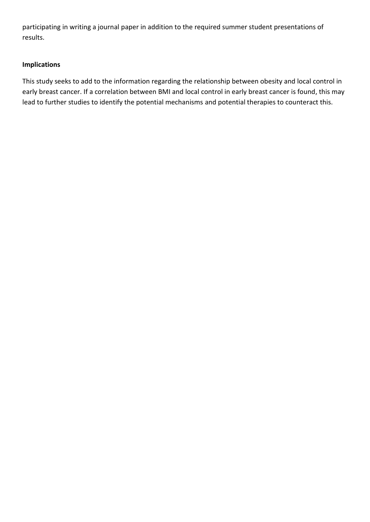participating in writing a journal paper in addition to the required summer student presentations of results.

# **Implications**

This study seeks to add to the information regarding the relationship between obesity and local control in early breast cancer. If a correlation between BMI and local control in early breast cancer is found, this may lead to further studies to identify the potential mechanisms and potential therapies to counteract this.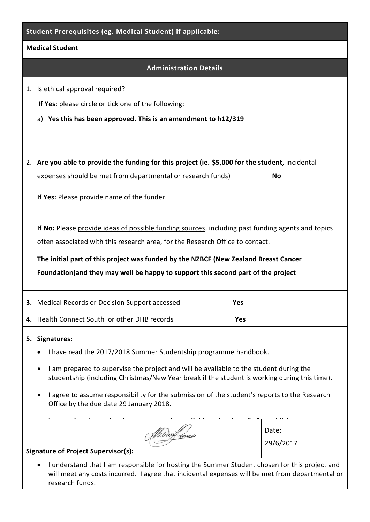| Student Prerequisites (eg. Medical Student) if applicable:                                                                                                                                                                       |                                                                                                                                                                                                                                                                              |  |  |  |  |  |
|----------------------------------------------------------------------------------------------------------------------------------------------------------------------------------------------------------------------------------|------------------------------------------------------------------------------------------------------------------------------------------------------------------------------------------------------------------------------------------------------------------------------|--|--|--|--|--|
| <b>Medical Student</b>                                                                                                                                                                                                           |                                                                                                                                                                                                                                                                              |  |  |  |  |  |
| <b>Administration Details</b>                                                                                                                                                                                                    |                                                                                                                                                                                                                                                                              |  |  |  |  |  |
|                                                                                                                                                                                                                                  | 1. Is ethical approval required?                                                                                                                                                                                                                                             |  |  |  |  |  |
|                                                                                                                                                                                                                                  | If Yes: please circle or tick one of the following:                                                                                                                                                                                                                          |  |  |  |  |  |
|                                                                                                                                                                                                                                  | a) Yes this has been approved. This is an amendment to h12/319                                                                                                                                                                                                               |  |  |  |  |  |
|                                                                                                                                                                                                                                  | 2. Are you able to provide the funding for this project (ie. \$5,000 for the student, incidental                                                                                                                                                                             |  |  |  |  |  |
|                                                                                                                                                                                                                                  | expenses should be met from departmental or research funds)<br>No                                                                                                                                                                                                            |  |  |  |  |  |
|                                                                                                                                                                                                                                  |                                                                                                                                                                                                                                                                              |  |  |  |  |  |
|                                                                                                                                                                                                                                  | If Yes: Please provide name of the funder                                                                                                                                                                                                                                    |  |  |  |  |  |
|                                                                                                                                                                                                                                  | If No: Please provide ideas of possible funding sources, including past funding agents and topics                                                                                                                                                                            |  |  |  |  |  |
|                                                                                                                                                                                                                                  | often associated with this research area, for the Research Office to contact.                                                                                                                                                                                                |  |  |  |  |  |
|                                                                                                                                                                                                                                  | The initial part of this project was funded by the NZBCF (New Zealand Breast Cancer                                                                                                                                                                                          |  |  |  |  |  |
|                                                                                                                                                                                                                                  | Foundation) and they may well be happy to support this second part of the project                                                                                                                                                                                            |  |  |  |  |  |
|                                                                                                                                                                                                                                  | 3. Medical Records or Decision Support accessed<br>Yes                                                                                                                                                                                                                       |  |  |  |  |  |
|                                                                                                                                                                                                                                  |                                                                                                                                                                                                                                                                              |  |  |  |  |  |
|                                                                                                                                                                                                                                  | 4. Health Connect South or other DHB records<br>Yes                                                                                                                                                                                                                          |  |  |  |  |  |
|                                                                                                                                                                                                                                  | 5. Signatures:<br>I have read the 2017/2018 Summer Studentship programme handbook.<br>I am prepared to supervise the project and will be available to the student during the<br>studentship (including Christmas/New Year break if the student is working during this time). |  |  |  |  |  |
|                                                                                                                                                                                                                                  |                                                                                                                                                                                                                                                                              |  |  |  |  |  |
|                                                                                                                                                                                                                                  |                                                                                                                                                                                                                                                                              |  |  |  |  |  |
|                                                                                                                                                                                                                                  | I agree to assume responsibility for the submission of the student's reports to the Research<br>Office by the due date 29 January 2018.                                                                                                                                      |  |  |  |  |  |
|                                                                                                                                                                                                                                  | Date:                                                                                                                                                                                                                                                                        |  |  |  |  |  |
|                                                                                                                                                                                                                                  | 29/6/2017<br><b>Signature of Project Supervisor(s):</b>                                                                                                                                                                                                                      |  |  |  |  |  |
| I understand that I am responsible for hosting the Summer Student chosen for this project and<br>$\bullet$<br>will meet any costs incurred. I agree that incidental expenses will be met from departmental or<br>research funds. |                                                                                                                                                                                                                                                                              |  |  |  |  |  |